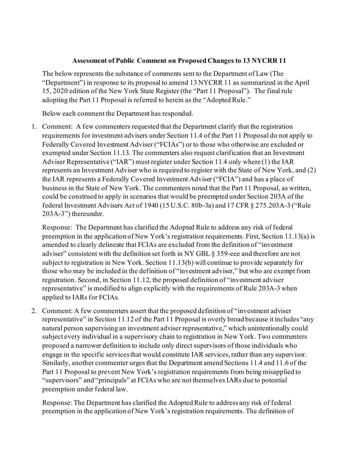## **Assessment of Public Comment on Proposed Changes to 13 NYCRR 11**

The below represents the substance of comments sent to the Department of Law (The "Department") in response to its proposal to amend 13 NYCRR 11 as summarized in the April 15, 2020 edition of the New York State Register (the "Part 11 Proposal"). The final rule adopting the Part 11 Proposal is referred to herein as the "Adopted Rule."

Below each comment the Department has responded.

1. Comment: A few commenters requested that the Department clarify that the registration requirements for investment advisers under Section 11.4 of the Part 11 Proposal do not apply to Federally Covered Investment Adviser ("FCIAs") or to those who otherwise are excluded or exempted under Section 11.13. The commenters also request clarification that an Investment Adviser Representative ("IAR") must register under Section 11.4 only where (1) the IAR represents an Investment Adviser who is required to register with the State of New York, and (2) the IAR represents a Federally Covered Investment Adviser ("FCIA") and has a place of business in the State of New York. The commenters noted that the Part 11 Proposal, as written, could be construed to apply in scenarios that would be preempted under Section 203A of the federal Investment Advisers Act of 1940 (15 U.S.C. 80b-3a) and 17 CFR § 275.203A-3 ("Rule 203A-3") thereunder.

Response: The Department has clarified the Adopted Rule to address any risk of federal preemption in the application of New York's registration requirements. First, Section 11.13(a) is amended to clearly delineate that FCIAs are excluded from the definition of "investment adviser" consistent with the definition set forth in NY GBL § 359-eee and therefore are not subject to registration in New York. Section 11.13(b) will continue to provide separately for those who may be included in the definition of "investment adviser," but who are exempt from registration. Second, in Section 11.12, the proposed definition of "investment adviser representative" is modified to align explicitly with the requirements of Rule 203A-3 when applied to IARs for FCIAs.

2. Comment: A few commenters assert that the proposed definition of "investment adviser representative" in Section 11.12 of the Part 11 Proposal is overly broad because it includes "any natural person supervising an investment adviser representative," which unintentionally could subject every individual in a supervisory chain to registration in New York. Two commenters proposed a narrower definition to include only direct supervisors of those individuals who engage in the specific services that would constitute IAR services, rather than any supervisor. Similarly, another commenter urges that the Department amend Sections 11.4 and 11.6 of the Part 11 Proposal to prevent New York's registration requirements from being misapplied to "supervisors" and "principals" at FCIAs who are not themselves IARs due to potential preemption under federal law.

Response: The Department has clarified the Adopted Rule to address any risk of federal preemption in the application of New York's registration requirements. The definition of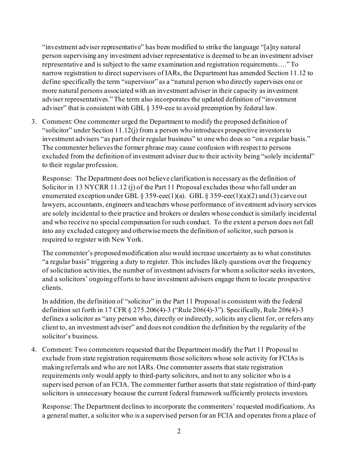"investment adviser representative" has been modified to strike the language "[a]ny natural person supervising any investment adviser representative is deemed to be an investment adviser representative and is subject to the same examination and registration requirements…." To narrow registration to direct supervisors of IARs, the Department has amended Section 11.12 to define specifically the term "supervisor" as a "natural person who directly supervises one or more natural persons associated with an investment adviser in their capacity as investment adviser representatives." The term also incorporates the updated definition of "investment adviser" that is consistent with GBL § 359-eee to avoid preemption by federal law.

3. Comment: One commenter urged the Department to modify the proposed definition of "solicitor" under Section 11.12(j) from a person who introduces prospective investors to investment advisers "as part of their regular business" to one who does so "on a regular basis." The commenter believes the former phrase may cause confusion with respect to persons excluded from the definition of investment adviser due to their activity being "solely incidental" to their regular profession.

Response: The Department does not believe clarification is necessary as the definition of Solicitor in 13 NYCRR 11.12 (j) of the Part 11 Proposal excludes those who fall under an enumerated exception under GBL § 359-eee(1)(a). GBL § 359-eee(1)(a)(2) and (3) carve out lawyers, accountants, engineers and teachers whose performance of investment advisory services are solely incidental to their practice and brokers or dealers whose conduct is similarly incidental and who receive no special compensation for such conduct. To the extent a person does not fall into any excluded category and otherwise meets the definition of solicitor, such person is required to register with New York.

The commenter's proposed modification also would increase uncertainty as to what constitutes "a regular basis" triggering a duty to register. This includes likely questions over the frequency of solicitation activities, the number of investment advisers for whom a solicitor seeks investors, and a solicitors' ongoing efforts to have investment advisers engage them to locate prospective clients.

In addition, the definition of "solicitor" in the Part 11 Proposal is consistent with the federal definition set forth in 17 CFR § 275.206(4)-3 ("Rule 206(4)-3"). Specifically, Rule 206(4)-3 defines a solicitor as "any person who, directly or indirectly, solicits any client for, or refers any client to, an investment adviser" and does not condition the definition by the regularity of the solicitor's business.

4. Comment: Two commenters requested that the Department modify the Part 11 Proposal to exclude from state registration requirements those solicitors whose sole activity for FCIAs is making referrals and who are not IARs. One commenter asserts that state registration requirements only would apply to third-party solicitors, and not to any solicitor who is a supervised person of an FCIA. The commenter further asserts that state registration of third-party solicitors is unnecessary because the current federal framework sufficiently protects investors.

Response: The Department declines to incorporate the commenters' requested modifications. As a general matter, a solicitor who is a supervised person for an FCIA and operates from a place of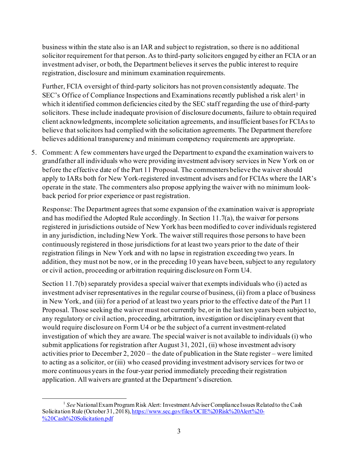business within the state also is an IAR and subject to registration, so there is no additional solicitor requirement for that person. As to third-party solicitors engaged by either an FCIA or an investment adviser, or both, the Department believes it serves the public interest to require registration, disclosure and minimum examination requirements.

Further, FCIA oversight of third-party solicitors has not proven consistently adequate. The SEC's Office of Compliance Inspections and Examinations recently published a risk alert<sup>[1](#page-2-0)</sup> in which it identified common deficiencies cited by the SEC staff regarding the use of third-party solicitors. These include inadequate provision of disclosure documents, failure to obtain required client acknowledgments, incomplete solicitation agreements, and insufficient bases for FCIAs to believe that solicitors had complied with the solicitation agreements. The Department therefore believes additional transparency and minimum competency requirements are appropriate.

5. Comment: A few commenters have urged the Department to expand the examination waivers to grandfather all individuals who were providing investment advisory services in New York on or before the effective date of the Part 11 Proposal. The commenters believe the waiver should apply to IARs both for New York-registered investment advisers and for FCIAs where the IAR's operate in the state. The commenters also propose applying the waiver with no minimum lookback period for prior experience or past registration.

Response: The Department agrees that some expansion of the examination waiver is appropriate and has modified the Adopted Rule accordingly. In Section 11.7(a), the waiver for persons registered in jurisdictions outside of New York has been modified to cover individuals registered in any jurisdiction, including New York. The waiver still requires those persons to have been continuously registered in those jurisdictions for at least two years prior to the date of their registration filings in New York and with no lapse in registration exceeding two years. In addition, they must not be now, or in the preceding 10 years have been, subject to any regulatory or civil action, proceeding or arbitration requiring disclosure on Form U4.

Section 11.7(b) separately provides a special waiver that exempts individuals who (i) acted as investment adviser representatives in the regular course of business, (ii) from a place of business in New York, and (iii) for a period of at least two years prior to the effective date of the Part 11 Proposal. Those seeking the waiver must not currently be, or in the last ten years been subject to, any regulatory or civil action, proceeding, arbitration, investigation or disciplinary event that would require disclosure on Form U4 or be the subject of a current investment-related investigation of which they are aware. The special waiver is not available to individuals (i) who submit applications for registration after August 31, 2021, (ii) whose investment advisory activities prior to December 2, 2020 – the date of publication in the State register – were limited to acting as a solicitor, or (iii) who ceased providing investment advisory services for two or more continuous years in the four-year period immediately preceding their registration application. All waivers are granted at the Department's discretion.

<span id="page-2-0"></span><sup>1</sup> *See* National Exam Program Risk Alert: Investment Adviser Compliance Issues Related to the Cash Solicitation Rule (October 31, 2018), [https://www.sec.gov/files/OCIE%20Risk%20Alert%20-](https://www.sec.gov/files/OCIE%20Risk%20Alert%20-%20Cash%20Solicitation.pdf) [%20Cash%20Solicitation.pdf](https://www.sec.gov/files/OCIE%20Risk%20Alert%20-%20Cash%20Solicitation.pdf)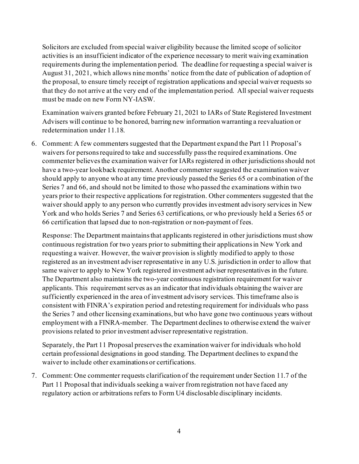Solicitors are excluded from special waiver eligibility because the limited scope of solicitor activities is an insufficient indicator of the experience necessary to merit waiving examination requirements during the implementation period. The deadline for requesting a special waiver is August 31, 2021, which allows nine months' notice from the date of publication of adoption of the proposal, to ensure timely receipt of registration applications and special waiver requests so that they do not arrive at the very end of the implementation period. All special waiver requests must be made on new Form NY-IASW.

Examination waivers granted before February 21, 2021 to IARs of State Registered Investment Advisers will continue to be honored, barring new information warranting a reevaluation or redetermination under 11.18.

6. Comment: A few commenters suggested that the Department expand the Part 11 Proposal's waivers for persons required to take and successfully pass the required examinations. One commenter believes the examination waiver for IARs registered in other jurisdictions should not have a two-year lookback requirement. Another commenter suggested the examination waiver should apply to anyone who at any time previously passed the Series 65 or a combination of the Series 7 and 66, and should not be limited to those who passed the examinations within two years prior to their respective applications for registration. Other commenters suggested that the waiver should apply to any person who currently provides investment advisory services in New York and who holds Series 7 and Series 63 certifications, or who previously held a Series 65 or 66 certification that lapsed due to non-registration or non-payment of fees.

Response: The Department maintains that applicants registered in other jurisdictions must show continuous registration for two years prior to submitting their applicationsin New York and requesting a waiver. However, the waiver provision is slightly modified to apply to those registered as an investment adviser representative in any U.S. jurisdiction in order to allow that same waiver to apply to New York registered investment adviser representatives in the future. The Department also maintains the two-year continuous registration requirement for waiver applicants. This requirement serves as an indicator that individuals obtaining the waiver are sufficiently experienced in the area of investment advisory services. This timeframe also is consistent with FINRA's expiration period and retesting requirement for individuals who pass the Series 7 and other licensing examinations, but who have gone two continuous years without employment with a FINRA-member. The Department declines to otherwise extend the waiver provisions related to prior investment adviser representative registration.

Separately, the Part 11 Proposal preserves the examination waiver for individuals who hold certain professional designations in good standing. The Department declines to expand the waiver to include other examinations or certifications.

7. Comment: One commenter requests clarification of the requirement under Section 11.7 of the Part 11 Proposal that individuals seeking a waiver from registration not have faced any regulatory action or arbitrations refers to Form U4 disclosable disciplinary incidents.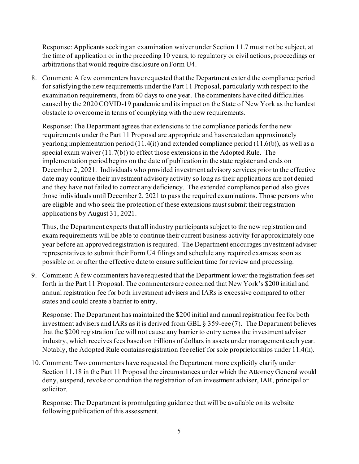Response: Applicants seeking an examination waiver under Section 11.7 must not be subject, at the time of application or in the preceding 10 years, to regulatory or civil actions, proceedings or arbitrations that would require disclosure on Form U4.

8. Comment: A few commenters have requested that the Department extend the compliance period for satisfying the new requirements under the Part 11 Proposal, particularly with respect to the examination requirements, from 60 days to one year. The commenters have cited difficulties caused by the 2020 COVID-19 pandemic and its impact on the State of New York as the hardest obstacle to overcome in terms of complying with the new requirements.

Response: The Department agrees that extensions to the compliance periods for the new requirements under the Part 11 Proposal are appropriate and has created an approximately yearlong implementation period (11.4(i)) and extended compliance period (11.6(b)), as well as a special exam waiver (11.7(b)) to effect those extensions in the Adopted Rule. The implementation period begins on the date of publication in the state register and ends on December 2, 2021. Individuals who provided investment advisory services prior to the effective date may continue their investment advisory activity so long as their applications are not denied and they have not failed to correct any deficiency. The extended compliance period also gives those individuals until December 2, 2021 to pass the required examinations. Those persons who are eligible and who seek the protection of these extensions must submit their registration applications by August 31, 2021.

Thus, the Department expects that all industry participants subject to the new registration and exam requirements will be able to continue their current business activity for approximately one year before an approved registration is required. The Department encourages investment adviser representatives to submit their Form U4 filings and schedule any required exams as soon as possible on or after the effective date to ensure sufficient time for review and processing.

9. Comment: A few commenters have requested that the Department lower the registration fees set forth in the Part 11 Proposal. The commenters are concerned that New York's \$200 initial and annual registration fee for both investment advisers and IARs is excessive compared to other states and could create a barrier to entry.

Response: The Department has maintained the \$200 initial and annual registration fee for both investment advisers and IARs as it is derived from GBL § 359-eee (7). The Department believes that the \$200 registration fee will not cause any barrier to entry across the investment adviser industry, which receives fees based on trillions of dollars in assets under management each year. Notably, the Adopted Rule contains registration fee relief for sole proprietorships under 11.4(h).

10. Comment: Two commenters have requested the Department more explicitly clarify under Section 11.18 in the Part 11 Proposal the circumstances under which the Attorney General would deny, suspend, revoke or condition the registration of an investment adviser, IAR, principal or solicitor.

Response: The Department is promulgating guidance that will be available on its website following publication of this assessment.